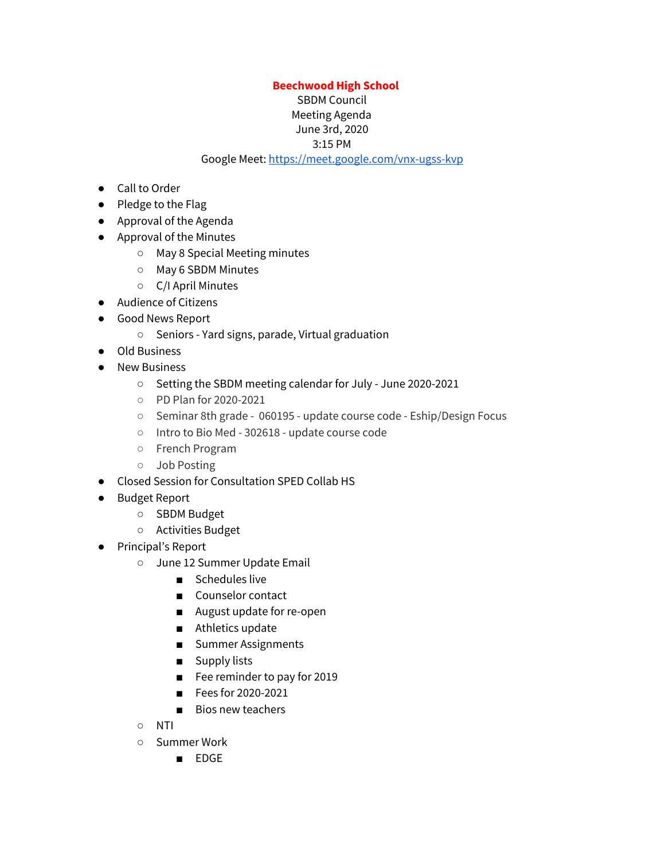## **Beechwood High School**

SBDM Council Meeting Agenda June 3rd, 2020 3:15 PM

Google Meet: <https://meet.google.com/vnx-ugss-kvp>

- Call to Order
- Pledge to the Flag
- Approval of the Agenda
- Approval of the Minutes
	- May 8 Special Meeting minutes
	- May 6 SBDM Minutes
	- C/I April Minutes
- Audience of Citizens
- Good News Report
	- Seniors Yard signs, parade, Virtual graduation
- Old Business
- New Business
	- Setting the SBDM meeting calendar for July June 2020-2021
	- PD Plan for 2020-2021
	- Seminar 8th grade 060195 update course code Eship/Design Focus
	- Intro to Bio Med 302618 update course code
	- French Program
	- Job Posting
- Closed Session for Consultation SPED Collab HS
- Budget Report
	- SBDM Budget
	- Activities Budget
- Principal's Report
	- June 12 Summer Update Email
		- Schedules live
		- Counselor contact
		- August update for re-open
		- Athletics update
		- Summer Assignments
		- Supply lists
		- Fee reminder to pay for 2019
		- Fees for 2020-2021
		- Bios new teachers
	- NTI
	- Summer Work
		- EDGE